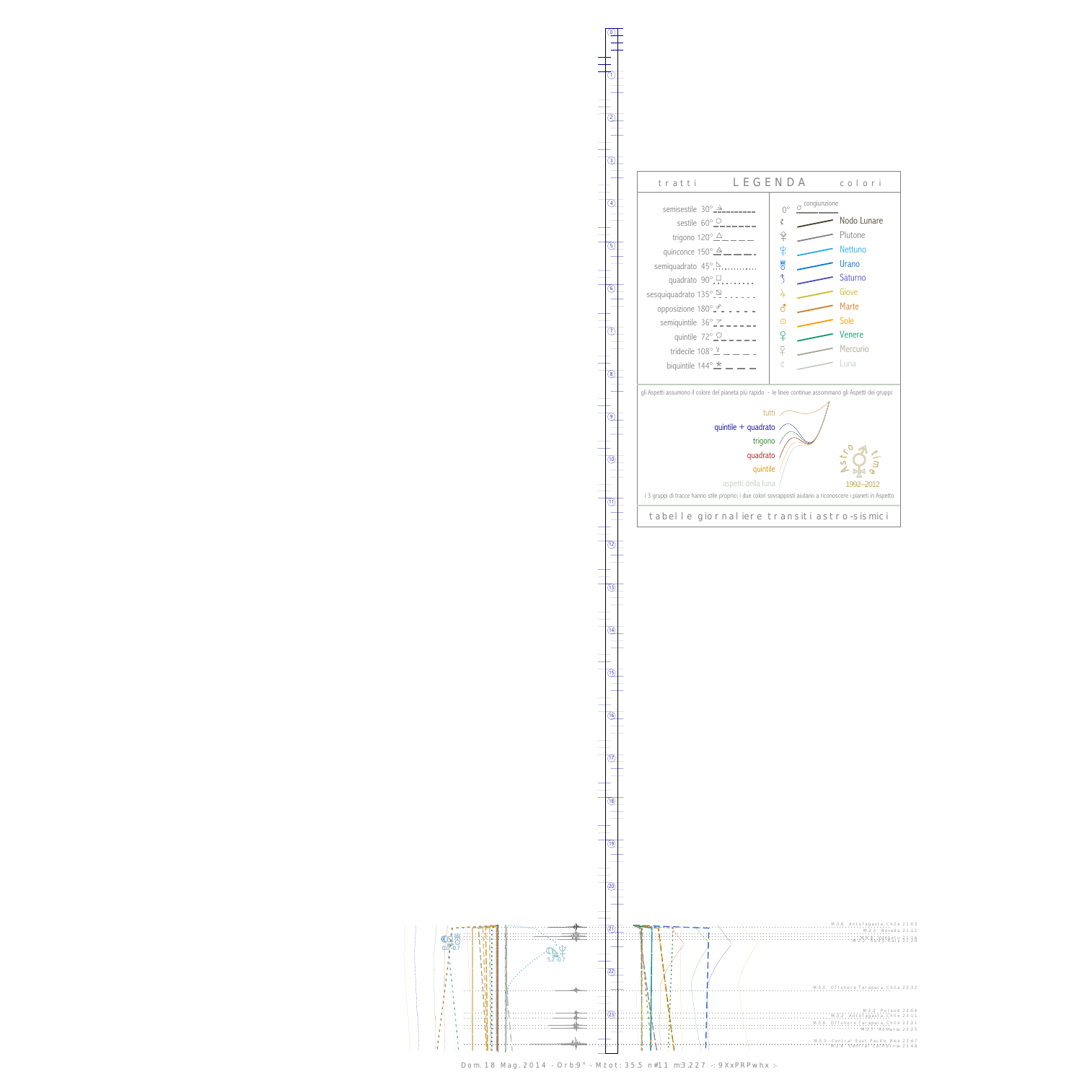0

1



Dom. 18 Mag. 2014 - Orb:9° - M.tot: 35.5 n#11 m:3.227 -: 9XxPRPwhx :-



13